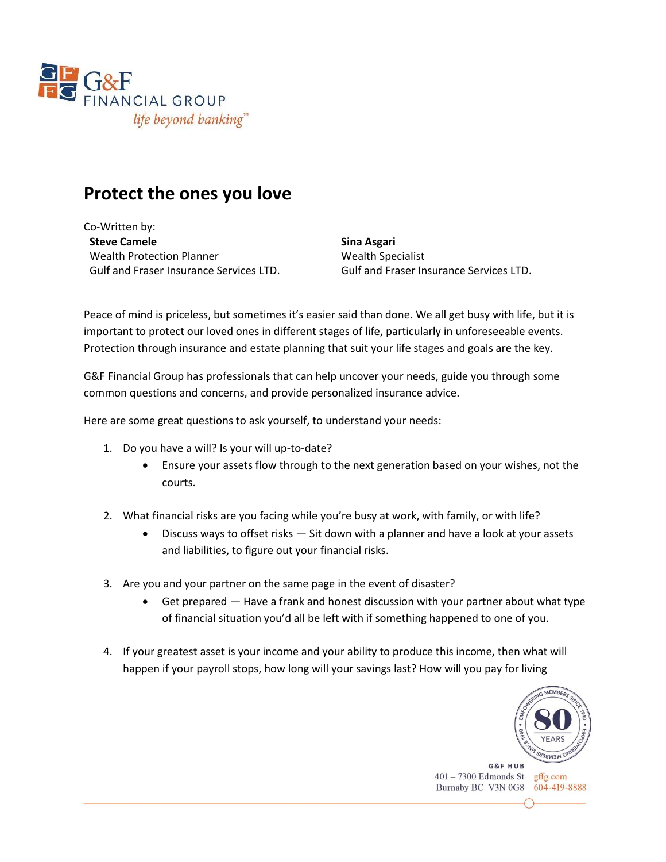

## **Protect the ones you love**

Co-Written by: **Steve Camele** Wealth Protection Planner Gulf and Fraser Insurance Services LTD.

**Sina Asgari** Wealth Specialist Gulf and Fraser Insurance Services LTD.

Peace of mind is priceless, but sometimes it's easier said than done. We all get busy with life, but it is important to protect our loved ones in different stages of life, particularly in unforeseeable events. Protection through insurance and estate planning that suit your life stages and goals are the key.

G&F Financial Group has professionals that can help uncover your needs, guide you through some common questions and concerns, and provide personalized insurance advice.

Here are some great questions to ask yourself, to understand your needs:

- 1. Do you have a will? Is your will up-to-date?
	- Ensure your assets flow through to the next generation based on your wishes, not the courts.
- 2. What financial risks are you facing while you're busy at work, with family, or with life?
	- Discuss ways to offset risks Sit down with a planner and have a look at your assets and liabilities, to figure out your financial risks.
- 3. Are you and your partner on the same page in the event of disaster?
	- Get prepared Have a frank and honest discussion with your partner about what type of financial situation you'd all be left with if something happened to one of you.
- 4. If your greatest asset is your income and your ability to produce this income, then what will happen if your payroll stops, how long will your savings last? How will you pay for living

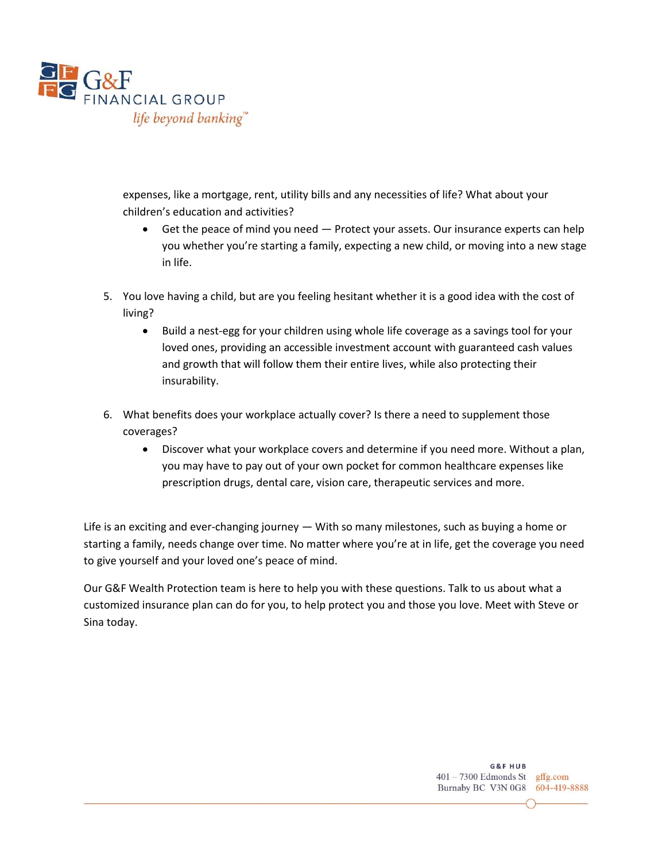

expenses, like a mortgage, rent, utility bills and any necessities of life? What about your children's education and activities?

- Get the peace of mind you need Protect your assets. Our insurance experts can help you whether you're starting a family, expecting a new child, or moving into a new stage in life.
- 5. You love having a child, but are you feeling hesitant whether it is a good idea with the cost of living?
	- Build a nest-egg for your children using whole life coverage as a savings tool for your loved ones, providing an accessible investment account with guaranteed cash values and growth that will follow them their entire lives, while also protecting their insurability.
- 6. What benefits does your workplace actually cover? Is there a need to supplement those coverages?
	- Discover what your workplace covers and determine if you need more. Without a plan, you may have to pay out of your own pocket for common healthcare expenses like prescription drugs, dental care, vision care, therapeutic services and more.

Life is an exciting and ever-changing journey — With so many milestones, such as buying a home or starting a family, needs change over time. No matter where you're at in life, get the coverage you need to give yourself and your loved one's peace of mind.

Our G&F Wealth Protection team is here to help you with these questions. Talk to us about what a customized insurance plan can do for you, to help protect you and those you love. Meet with Steve or Sina today.

> G&F HUR 401 - 7300 Edmonds St gffg.com Burnaby BC V3N 0G8 604-419-8888